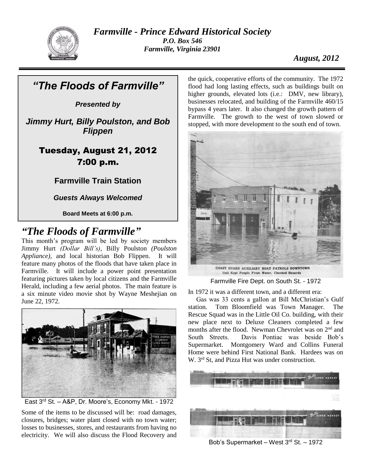

*Farmville - Prince Edward Historical Society P.O. Box 546 Farmville, Virginia 23901*

## *August, 2012*

*"The Floods of Farmville" Presented by Jimmy Hurt, Billy Poulston, and Bob Flippen* Tuesday, August 21, 2012 7:00 p.m. **Farmville Train Station** *Guests Always Welcomed* **Board Meets at 6:00 p.m.**

# *"The Floods of Farmville"*

This month's program will be led by society members Jimmy Hurt *(Dollar Bill's),* Billy Poulston *(Poulston Appliance),* and local historian Bob Flippen. It will feature many photos of the floods that have taken place in Farmville. It will include a power point presentation featuring pictures taken by local citizens and the Farmville Herald, including a few aerial photos. The main feature is a six minute video movie shot by Wayne Meshejian on June 22, 1972.





Some of the items to be discussed will be: road damages, closures, bridges; water plant closed with no town water; losses to businesses, stores, and restaurants from having no electricity. We will also discuss the Flood Recovery and

the quick, cooperative efforts of the community. The 1972 flood had long lasting effects, such as buildings built on higher grounds, elevated lots (i.e.: DMV, new library), businesses relocated, and building of the Farmville 460/15 bypass 4 years later. It also changed the growth pattern of Farmville. The growth to the west of town slowed or stopped, with more development to the south end of town.



Farmville Fire Dept. on South St. - 1972

In 1972 it was a different town, and a different era:

 Gas was 33 cents a gallon at Bill McChristian's Gulf station. Tom Bloomfield was Town Manager. The Rescue Squad was in the Little Oil Co. building, with their new place next to Deluxe Cleaners completed a few months after the flood. Newman Chevrolet was on  $2<sup>nd</sup>$  and South Streets. Davis Pontiac was beside Bob's Supermarket. Montgomery Ward and Collins Funeral Home were behind First National Bank. Hardees was on W. 3<sup>rd</sup> St, and Pizza Hut was under construction.



Bob's Supermarket – West 3rd St. – 1972